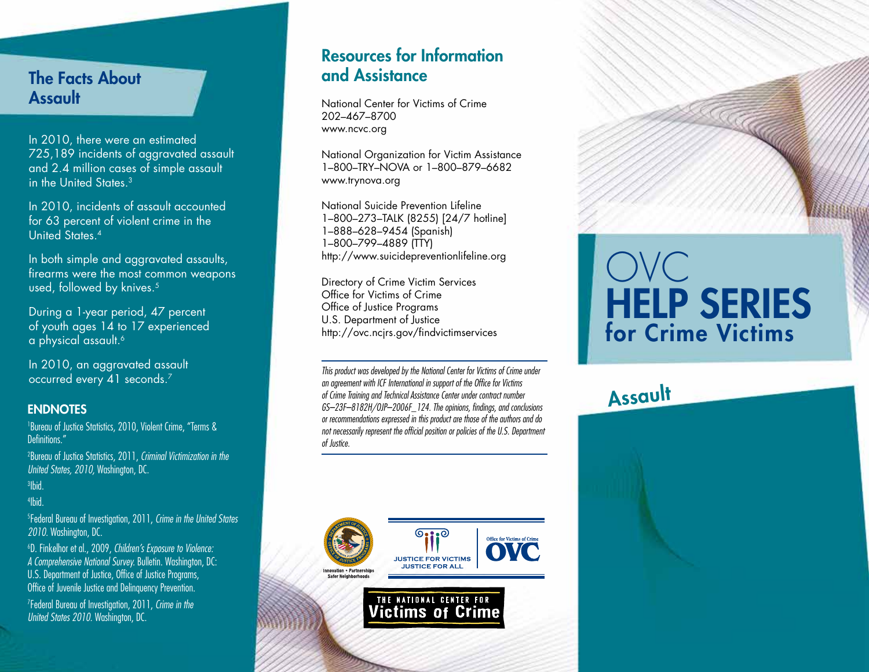### The Facts About Assault

In 2010, there were an estimated 725,189 incidents of aggravated assault and 2.4 million cases of simple assault in the United States.3

In 2010, incidents of assault accounted for 63 percent of violent crime in the United States.4

In both simple and aggravated assaults, firearms were the most common weapons used, followed by knives.<sup>5</sup>

During a 1-year period, 47 percent of youth ages 14 to 17 experienced a physical assault.<sup>6</sup>

In 2010, an aggravated assault occurred every 41 seconds.7

#### **ENDNOTES**

1 Bureau of Justice Statistics, 2010, Violent Crime, "Terms & Definitions."

2 Bureau of Justice Statistics, 2011, *Criminal Victimization in the United States, 2010,* Washington, DC.

3 Ibid.

4 Ibid.

5 Federal Bureau of Investigation, 2011, *Crime in the United States 2010.* Washington, DC.

6 D. Finkelhor et al., 2009, *Children's Exposure to Violence: A Comprehensive National Survey.* Bulletin. Washington, DC: U.S. Department of Justice, Office of Justice Programs, Office of Juvenile Justice and Delinquency Prevention.

7 Federal Bureau of Investigation, 2011, *Crime in the United States 2010.* Washington, DC.

## Resources for Information and Assistance

National Center for Victims of Crime 202–467–8700 www.ncvc.org

National Organization for Victim Assistance 1–800–TRY–NOVA or 1–800–879–6682 www.trynova.org

National Suicide Prevention Lifeline 1–800–273–TALK (8255) [24/7 hotline] 1–888–628–9454 (Spanish) 1–800–799–4889 (TTY) http://www.suicidepreventionlifeline.org

Directory of Crime Victim Services Office for Victims of Crime Office of Justice Programs U.S. Department of Justice http://ovc.ncjrs.gov/findvictimservices

*This product was developed by the National Center for Victims of Crime under an agreement with ICF International in support of the Office for Victims of Crime Training and Technical Assistance Center under contract number GS–23F–8182H/OJP–2006F\_124. The opinions, findings, and conclusions or recommendations expressed in this product are those of the authors and do not necessarily represent the official position or policies of the U.S. Department of Justice.*



**Victims of Crime** 

# OVC HELP SERIES for Crime Victims

Assault